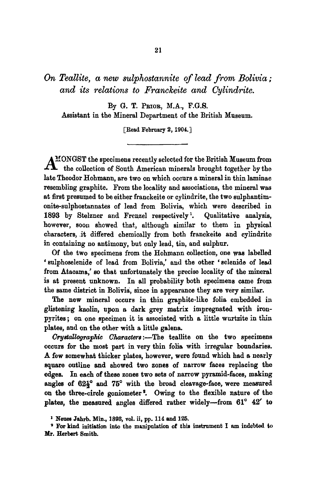*On Tealllte, a new sulphostannite of lead from Bolivia; and its relations to Franckeite and Cylindrite.* 

By G. T. PRIOR, M.A., F.G.S. Assistant in the Mineral Department of the British Museum.

[Read February 2, 1904.]

 $MOMAST$  the specimens recently selected for the British  $M$ useum from A the collection of South American minerals brought together by the late Theodor Hohmann, are two on which occurs a mineral in thin laminae resembling graphite. From the locality and associations, the mineral was at first presumed to be either franckeite or cylindrite, the two sulphantimonite-sulphostannates of lead from Bolivia, which were described in 1893 by Stelzner and Frenzel respectively<sup>1</sup>. Qualitative analysis, however, soon showed that, although similar to them in physical characters, it differed chemically from both franckelte and cylindrite in containing no antimony, but only lead, tin, and sulphur.

Of the two specimens from the Hohmann collection, one was labelled ' sulphoselenide of lead from Bolivia,' and the other ' selenide of lead from Atacama,' so that unfortunately the precise locality of the mineral is at present unknown. In all probability both specimens came from the same district in Bolivia, since in appearance they are very similar.

The new mineral occurs in thin graphite-like folia embedded in glistening kaolin, upon a dark grey matrix impregnated with ironpyrites; on one specimen it is associated with a little wurtzite in thin plates, and on the other with a little galena.

*Grystallographic Characters*:--The teallite on the two specimens occurs for the most part in very thin folia with irregular boundaries. A few somewhat thicker plates, however, were found which had a nearly square outline and showed two zones of narrow faces replacing the edges. In each of these zones two sets of narrow pyramld-faces, making angles of  $62\frac{1}{2}^{\circ}$  and  $75^{\circ}$  with the broad cleavage-face, were measured on the three-circle goniometer<sup>2</sup>. Owing to the flexible nature of the plates, the measured angles differed rather widely---from  $61^{\circ}$   $42'$  to

s For kind initiation into the manipulation of this instrument I am indebted to **Mr. Herbert Smith.** 

<sup>&</sup>lt;sup>1</sup> Neues Jahrb. Min., 1893, vol. ii, pp. 114 and 125.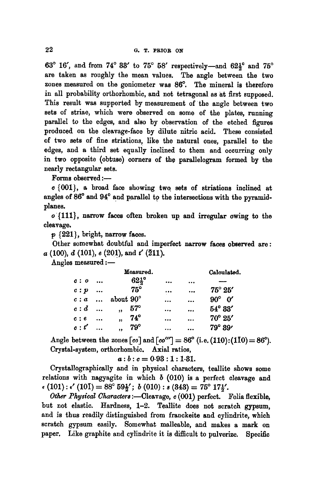63° 16', and from 74° 33' to 75° 58' respectively--and  $62\frac{1}{2}$ ° and 75° are taken as roughly the mean values. The angle between the two zones measured on the goniometer was 86°. The mineral is therefore in all probability orthorhombie, and not tetragonal as at first supposed. This result was supported by measurement of the angle between two sets of striae, which were observed on some of the plates, running parallel to the edges, and also by observation of the etched figures produced on the cleavage-face by dilute nitric acid. These consisted of two sets of fine striations, like the natural ones, parallel to the edges, and a third set equally inclined to them and occurring only in two opposite (obtuse) corners of the parallelogram formed by the nearly rectangular sets.

Forms observed :-

c {001}, a broad face showing two. sets of striations inclined at angles of 86° and 94° and parallel to the intersections with the pyramidplanes.

o {111}, narrow faces often broken up and irregular owing to the cleavage.

p {221}, bright, narrow faces.

Other somewhat doubtful and imperfect narrow faces observed are:  $a(100), d(101), e(201), \text{and } t'(211).$ 

Angles measured :-

|              |           | Measured.                             | Calculated.                   |                      |                        |  |
|--------------|-----------|---------------------------------------|-------------------------------|----------------------|------------------------|--|
| c: o         | $\cdots$  |                                       | $62\frac{1}{2}$ °<br>$\cdots$ |                      |                        |  |
| c: p         | $\cdots$  | $75^{\circ}$                          |                               | $\ddot{\phantom{a}}$ | $75^{\circ} 25'$       |  |
| $c: a \dots$ |           | about 90°                             | $\cdots$                      | $\ddotsc$            | $90^\circ \text{ } 0'$ |  |
| $c:d$        |           | $57^\circ$<br>$\overline{\mathbf{u}}$ | $\ddotsc$                     |                      | $54^{\circ} 33'$       |  |
| c: e         | $\ddotsc$ | 74°<br>$\rightarrow$                  | $\cdots$                      |                      | $70^{\circ} 25'$       |  |
| c: t'        |           | -79°<br>,,                            |                               |                      | $79^{\circ} 39'$       |  |

Angle between the zones  $\lceil co \rceil$  and  $\lceil co'' \rceil = 86^{\circ}$  (i.e. (110):(110) = 86°). Crystal-system, orthorhombic. Axial ratios,

 $a:b:c = 0.93:1:1.31.$ 

Crystallographically and in physical characters, teallite shows some relations with nagyagite in which  $b$  (010) is a perfect cleavage and  $\epsilon$  (101):  $\epsilon'$  (101) = 88° 59<sup>1</sup>/<sub>2</sub>'; *b* (010): *s* (343) = 75° 17<sup>1</sup>/<sub>2</sub>'.

*Other Physical Characters* :- Cleavage, c (001) perfect. Folia flexible, but not elastic. Hardness, 1-2. Teallite does not scratch gypsum, and is thus readily distinguished from franckeite and cylindrite, which scratch gypsum easily. Somewhat malleable, and makes a mark on paper. Like graphite and eylindrite it is difficult to pulverize. Specific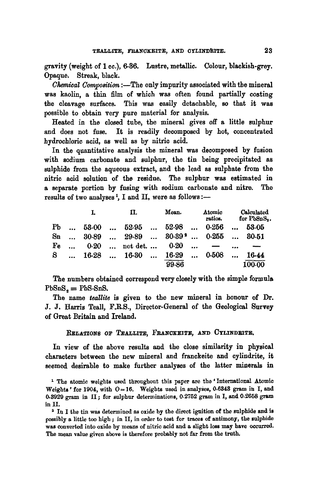gravity (weight of 1 cc.), 6.86. Lustre, metallic. Colour, blackish-grey. Opaque. Streak, black.

*Chemical Composition* :--The only impurity associated with the mineral was kaolin, a thin film of which was often found partially coating the cleavage surfaces. This was easily detachable, so that it was possible to obtain very pure material for analysis.

Heated in the closed tube, the mineral gives off a little sulphur and does not fuse. It is readily decomposed by hot, concentrated hydrochloric acid, as well as by nitric acid.

In the quantitative analysis the mineral was decomposed by fusion with sodium carbonate and sulphur, the tin being precipitated as sulphide from the aqueous extract, and the lead as sulphate from the nitric acid solution of the residue. The sulphur was estimated in a separate portion by fusing with sodium carbonate and nitre. The results of two analyses<sup>1</sup>, I and II, were as follows :-

|          |          | L     | П. |                                                           | Mean. |       |           | Atomic<br>ratios. |           | Calculated<br>for PbSnS <sub>2</sub> . |  |  |
|----------|----------|-------|----|-----------------------------------------------------------|-------|-------|-----------|-------------------|-----------|----------------------------------------|--|--|
| Pb       | $\cdots$ |       |    | $53.00$ $52.95$ $52.98$                                   |       |       | $\ddotsc$ | 0.256             |           | 53.05                                  |  |  |
| $S_{11}$ | $\cdots$ | 30.89 |    | $\ldots$ 29.89 $\ldots$ 30.39 <sup>2</sup> $\ldots$ 0.255 |       |       |           |                   | $\sim$    | 30.51                                  |  |  |
| Fe       |          | 0.20  |    | $\ldots$ not det. $\ldots$                                |       | 0.20  | $\ddotsc$ |                   | $\ddotsc$ |                                        |  |  |
| S.       |          |       |    | $\dots$ 16.28 $\dots$ 16.30 $\dots$ 16.29                 |       |       | $\cdots$  | 0.508             |           | 16.44                                  |  |  |
|          |          |       |    |                                                           |       | 99.86 |           |                   |           | $100 - 00$                             |  |  |

The numbers obtained correspond very closely with the simple formula  $PbSnS = PbS-SnS.$ 

The name *teallite* is given to the new mineral in honour of Dr. J. J. Harris Teall, F.R.S., Director-General of the Geological Survey of Great Britain and Ireland.

RELATIONS OF TEALLITE, FRANCKEITE, AND CYLINDRITE.

In view of the above results and the close similarity in physical characters between the new mineral and franckeite and cylindrite, it seemed desirable to make further analyses of the latter minerals in

1 The atomic weights used throughout this paper are the ' International Atomic Weights' for 1904, with  $O=16$ . Weights used in analyses, 0.6348 gram in I, and 0.3929 gram in II ; for sulphur determinations, 0.2752 gram in I, and 0,2658 gram in II.

2 In I the tin was determined as oxide by the direct ignition of the sulphide and ia possibly a little too high ; in II, in order to test for traces of antimony, the sulphide was converted into oxide by means of nitric acid and a slight loss may have occurred. The mean value given above is therefore probably not far from the truth.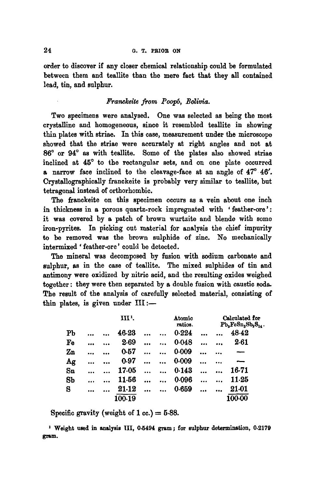order to discover if any closer chemical relationship could be formulated between them and teallite than the mere fact that they all contained lead, tin, and sulphur.

## *Franekeite from PooFS, Bolivia.*

Two specimens were analysed. One was selected as being the most crystalline and homogeneous, since it resembled teallite in showing thin plates with striae. In this case, measurement under the microscope showed that the striae were accurately at right angles and not at  $86^{\circ}$  or  $94^{\circ}$  as with teallite. Some of the plates also showed striae inclined at 45° to the rectangular sets, and on one plate occurred a narrow face inclined to the cleavage-face at an angle of  $47^\circ$   $46'$ . Crystallographically franekeite is probably very similar to teallite, but tetragonal instead of orthorhomhic.

The franckeite on this specimen occurs as a vein about one inch in thickness in a porous quartz-rock impregnated with 'feather-ore': it was covered by a patch of brown wurtzite and blende with some iron-pyrltes. In picking out material for analysis the chief impurity to be removed was the brown sulphide of zinc. No mechanically intermixed ' feather-ore' could be detected.

The mineral was decomposed by fusion with sodium carbonate and sulphur, as in the case of teallite. The mixed sulphides of tin and antimony were oxidized by nitric acid, and the resulting oxides weighed together : they were then separated by a double fusion with caustic soda. The result of the analysis of carefully selected material, consisting of thin plates, is given under  $III :=$ 

|                |  | ш.     | Atomic<br>ratios. |                      |       |  |           | Calculated for<br>$Pb_5FeSn_3Sb_2S_{14}$ . |  |  |
|----------------|--|--------|-------------------|----------------------|-------|--|-----------|--------------------------------------------|--|--|
| P <sub>b</sub> |  | 46.23  |                   |                      | 0.224 |  |           | 48.42                                      |  |  |
| Fe             |  | 2.69   |                   |                      | 0.048 |  |           | 2.61                                       |  |  |
| Zn             |  | 0.57   |                   |                      | 0.009 |  |           |                                            |  |  |
| Ag             |  | 0.97   |                   |                      | 0.009 |  | $\ddotsc$ |                                            |  |  |
| $S_{I}$        |  | 17.05  |                   | $\ddotsc$            | 0.143 |  |           | 16.71                                      |  |  |
| 8 <sub>b</sub> |  | 11.56  |                   | $\ddot{\phantom{a}}$ | 0.096 |  |           | $11-25$                                    |  |  |
| S              |  | 21-12  |                   |                      | 0.659 |  |           | 21.01                                      |  |  |
|                |  | 100.19 |                   |                      |       |  |           | 100.00                                     |  |  |

Specific gravity (weight of 1 cc.)  $=$  5.88.

I Weight used in analysis III, 0.5494 gram ; for sulphur determination, 0.2179 gram.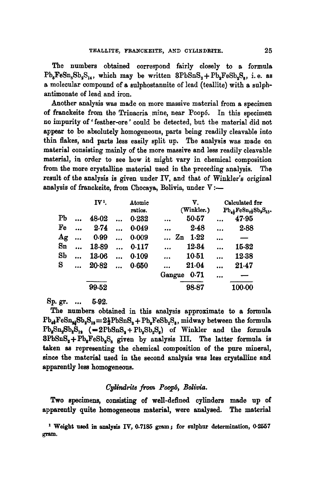The numbers obtained correspond fairly closely to a formula  $Pb<sub>s</sub>FeSn<sub>s</sub>Sh<sub>o</sub>S<sub>14</sub>$ , which may be written  $3PbSnS<sub>s</sub> + Pb<sub>s</sub>FeSb<sub>s</sub>S<sub>s</sub>$ , i.e. as a molecular compound of a sulphostannite of lead (teallite) with a sulpbantimonate of lead and iron.

Another analysis was made on more massive material from a specimen of franckeite from the Trinacria mine, near Poopó. In this specimen no impurity of' feather-ore' could be detected, but the material did not appear to be absolutely homogeneous, parts being readily cleavable into thin flakes, and parts less easily split up. The analysis was made on material consisting mainly of the more massive and less readily cleavable material, in order to see how it might vary in chemical composition from the more crystalline material used in the preceding analysis. The result of the analysis is given under IV, and that of Winkler's original analysis of franckeite, from Chocaya, Bolivia, under  $V :=$ 

|                |           | IV <sup>1</sup> . |           | Atomic<br>ratios. |           | V.<br>(Winkler.) |          | Calculated for<br>$Pb_{4}$ Fe $Sn_{2}$ S $b_{2}S_{13}$ |  |
|----------------|-----------|-------------------|-----------|-------------------|-----------|------------------|----------|--------------------------------------------------------|--|
| PЬ             | $\ddotsc$ | 48.02             |           | 0.232             | $\ddotsc$ | 50.57            |          | 47.95                                                  |  |
| Fe             |           | 2.74              |           | 0.049             |           | 2.48             |          | 2.88                                                   |  |
| Ag             |           | 0.99              |           | 0.009             |           | 1.22<br>Zn       | $\cdots$ |                                                        |  |
| $S_{n}$        |           | 13.89             |           | 0.117             | $\ddotsc$ | 12.34            |          | 15.32                                                  |  |
| S <sub>b</sub> |           | 13.06             | $\ddotsc$ | 0.109             |           | 10.51            |          | 12.38                                                  |  |
| s              |           | 20.82             |           | 0.650             |           | 21.04            |          | 21.47                                                  |  |
|                |           |                   |           |                   | Gangue    | 0.71             |          |                                                        |  |
|                |           | 99.52             |           |                   |           | 98.87            |          | 100.00                                                 |  |

**Sp. gr .... 5.92.** 

The numbers obtained in this analysis approximate to a formula  $Pb_{4}FeSn_{4}Sb_{4}S_{18}=2\frac{1}{2}PbSnS_{2}+Pb_{4}FeSb_{4}S_{8}$ , midway between the formula  $Pb_sSn_sSb_sS_{13}$  (=2PbSnS<sub>a</sub>+Pb<sub>s</sub>Sb<sub>a</sub>S<sub>s</sub>) of Winkler and the formula  $3PbSnS<sub>2</sub> + Pb<sub>3</sub>FeSb<sub>3</sub>S<sub>3</sub>$  given by analysis III. The latter formula is taken as representing the chemical composition of the pure mineral, since the material used in the second analysis was less crystalline and apparently less homogeneous.

## Cylindrite from Poopó, Bolivia.

Two specimens, consisting of well-defined cylinders made up of apparently quite homogeneous material, were analysed. The material

<sup>1</sup> Weight used in analysis IV, 0.7185 gram; for sulphur determination,  $0.2557$ gram.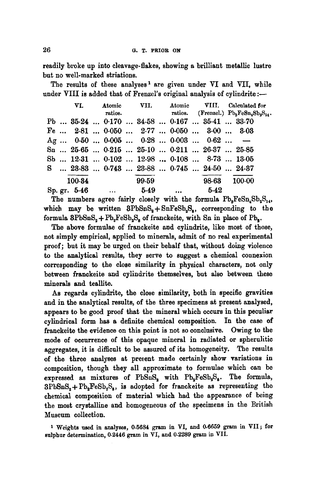readily broke up into cleavage-flakes, showing a brilliant metallic lustre but no well-marked striations.

The results of these analyses<sup>1</sup> are given under VI and VII, while under VIII is added that of Frenzel's original analysis of cylindrite :-

|  |        |                       |       |  |                                                                                       | VI. Atomic VII. Atomic VIII. Calculated for                                             |  |
|--|--------|-----------------------|-------|--|---------------------------------------------------------------------------------------|-----------------------------------------------------------------------------------------|--|
|  |        |                       |       |  |                                                                                       | ratios. ratios. (Frenzel.) $\mathrm{Pb}_3\mathrm{FeSn}_4\mathrm{Sh}_2\mathrm{S}_{14}$ . |  |
|  |        |                       |       |  | Pb  35.24  0.170  34.58  0.167  35.41  33.70                                          |                                                                                         |  |
|  |        |                       |       |  | Fe  2.81  0.050  2.77  0.050  3.00  3.03                                              |                                                                                         |  |
|  |        |                       |       |  | Ag $0.50$ $0.005$ $0.28$ $0.003$ $0.62$ -                                             |                                                                                         |  |
|  |        |                       |       |  | $Sn$ $25.65$ $0.215$ $25.10$ $0.211$ $26.37$ $25.85$                                  |                                                                                         |  |
|  |        |                       |       |  | Sb $\dots$ 12.31 $\dots$ 0.102 $\dots$ 12.98 $\dots$ 0.108 $\dots$ 8.73 $\dots$ 13.05 |                                                                                         |  |
|  |        |                       |       |  | S  23.83  0.743  23.88  0.745  24.50  24.37                                           |                                                                                         |  |
|  | 100.34 |                       | 99.59 |  | 98.63 100.00                                                                          |                                                                                         |  |
|  |        | Sp. gr. $5.46$ $5.49$ |       |  | $\dots$ 5.42                                                                          |                                                                                         |  |

The numbers agree fairly closely with the formula  $Pb_sFeSn_sSb_sS_{14}$ , which may be written  $3PbSnS<sub>2</sub> + SnFeSb<sub>2</sub>S<sub>2</sub>$ , corresponding to the formula  $BPbSnS<sub>2</sub> + Pb<sub>2</sub>FeSb<sub>2</sub>S<sub>3</sub>$  of franckeite, with Sn in place of Pb.

The above formulae of franckeite and cylindrite, like most of those, not simply empirical, applied to minerals, admit of no real experimental proof; but it may be urged on their behalf that, without doing violence to the analytical results, they serve to suggest a chemical connexion corresponding to the close similarity in physical characters, not only between franckeite and cyIindrite themselves, but also between these minerals and teallite.

As regards cylindrite, the close similarity, both in specific gravities and in the analytical results, of the three specimens at present analysed, appears to be good proof that the mineral which occurs in this peculiar cylindrical form has a definite chemical composition. In the case of franckeite the evidence on this point is not so conclusive. Owing to the mode of occurrence of this opaque mineral in radiated or spherulitic aggregates, it is difficult to be assured of its homogeneity. The results of the three analyses at present made certainly show variations in composition, though they all approximate to formulae which can be expressed as mixtures of PbSnS, with  $Pb_sFeSb_sS_s$ . The formula,  $3PbSnS<sub>2</sub>+Pb<sub>2</sub>FeSb<sub>2</sub>S<sub>8</sub>$ , is adopted for franckeite as representing the chemical composition of material which had the appearance of being the most crystalline and homogeneous of the specimens in the British Museum collection.

1 Weights used in analyses, 0.5684 gram in VI, and 0.6659 gram in VII ; for sulphur determination, 0.2446 gram in VI, and 0.2289 gram in VII.